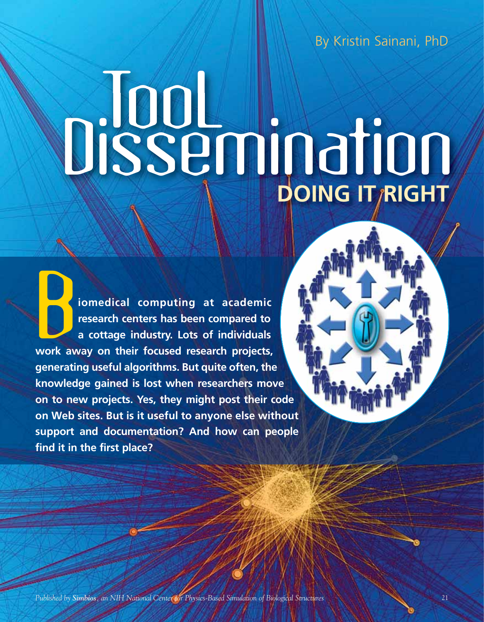By Kristin Sainani, PhD

# **TooL Dissemination**

**iomedical computing at academic<br>research centers has been compared to<br>a cottage industry. Lots of individuals<br>work away on their focused research projects,<br>generating useful algorithms. But quite often, the research centers has been compared to a cottage industry. Lots of individuals work away on their focused research projects, generating useful algorithms. But quite often, the knowledge gained is lost when researchers move on to new projects. Yes, they might post their code on Web sites. But is it useful to anyone else without support and documentation? And how can people find it in the first place?** 

*Published by Simbios, an NIH National Center for Physics-Based Simulation of Biological Structures* 21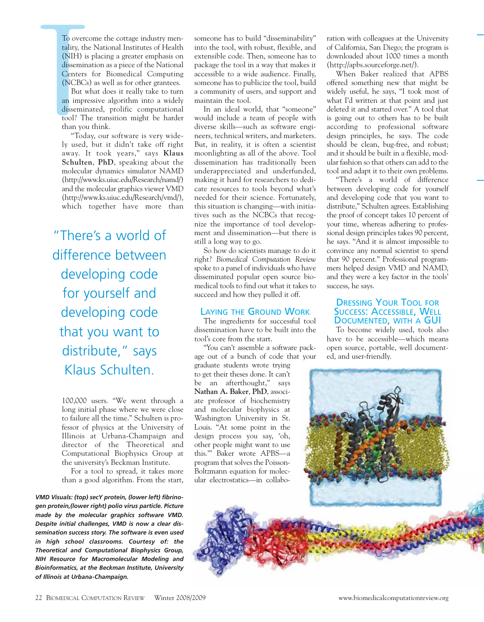To overce<br>tality, the<br>(NIH) is<br>dissemina<br>Centers<br>Centers<br>(NCBCs)<br>But w<br>an impre<br>dissemina<br>tool? Th<br>than you<br>"Toda<br>ly used,<br>away. It To overcome the cottage industry mentality, the National Institutes of Health (NIH) is placing a greater emphasis on dissemination as a piece of the National Centers for Biomedical Computing (NCBCs) as well as for other grantees.

But what does it really take to turn an impressive algorithm into a widely disseminated, prolific computational tool? The transition might be harder than you think.

"Today, our software is very widely used, but it didn't take off right away. It took years," says **Klaus Schulten**, **PhD**, speaking about the molecular dynamics simulator NAMD (http://www.ks.uiuc.edu/Research/namd/) and the molecular graphics viewer VMD (http://www.ks.uiuc.edu/Research/vmd/), which together have more than

"There's a world of difference between developing code for yourself and developing code that you want to distribute," says Klaus Schulten.

100,000 users. "We went through a long initial phase where we were close to failure all the time." Schulten is professor of physics at the University of Illinois at Urbana-Champaign and director of the Theoretical and Computational Biophysics Group at the university's Beckman Institute.

For a tool to spread, it takes more than a good algorithm. From the start,

*VMD Visuals: (top) secY protein, (lower left) fibrinogen protein,(lower right) polio virus particle. Picture made by the molecular graphics software VMD. Despite initial challenges, VMD is now a clear dissemination success story. The software is even used in high school classrooms. Courtesy of: the Theoretical and Computational Biophysics Group, NIH Resource for Macromolecular Modeling and Bioinformatics, at the Beckman Institute, University of Illinois at Urbana-Champaign.*

someone has to build "disseminability" into the tool, with robust, flexible, and extensible code. Then, someone has to package the tool in a way that makes it accessible to a wide audience. Finally, someone has to publicize the tool, build a community of users, and support and maintain the tool.

In an ideal world, that "someone" would include a team of people with diverse skills—such as software engineers, technical writers, and marketers. But, in reality, it is often a scientist moonlighting as all of the above. Tool dissemination has traditionally been underappreciated and underfunded, making it hard for researchers to dedicate resources to tools beyond what's needed for their science. Fortunately, this situation is changing—with initiatives such as the NCBCs that recognize the importance of tool development and dissemination—but there is still a long way to go.

So how do scientists manage to do it right? *Biomedical Computation Review* spoke to a panel of individuals who have disseminated popular open source biomedical tools to find out what it takes to succeed and how they pulled it off.

### LAYING THE GROUND WORK

The ingredients for successful tool dissemination have to be built into the tool's core from the start.

"You can't assemble a software package out of a bunch of code that your

graduate students wrote trying to get their theses done. It can't be an afterthought," says **Nathan A. Baker**, **PhD**, associate professor of biochemistry and molecular biophysics at Washington University in St. Louis. "At some point in the design process you say, 'oh, other people might want to use this.'" Baker wrote APBS—a program that solves the Poisson-Boltzmann equation for molecular electrostatics—in collaboration with colleagues at the University of California, San Diego; the program is downloaded about 1000 times a month (http://apbs.sourceforge.net/).

When Baker realized that APBS offered something new that might be widely useful, he says, "I took most of what I'd written at that point and just deleted it and started over." A tool that is going out to others has to be built according to professional software design principles, he says. The code should be clean, bug-free, and robust; and it should be built in a flexible, modular fashion so that others can add to the tool and adapt it to their own problems.

"There's a world of difference between developing code for yourself and developing code that you want to distribute," Schulten agrees. Establishing the proof of concept takes 10 percent of your time, whereas adhering to professional design principles takes 90 percent, he says. "And it is almost impossible to convince any normal scientist to spend that 90 percent." Professional programmers helped design VMD and NAMD, and they were a key factor in the tools' success, he says.

# DRESSING YOUR TOOL FOR SUCCESS: ACCESSIBLE, WELL DOCUMENTED, WITH A GUI

To become widely used, tools also have to be accessible—which means open source, portable, well documented, and user-friendly.

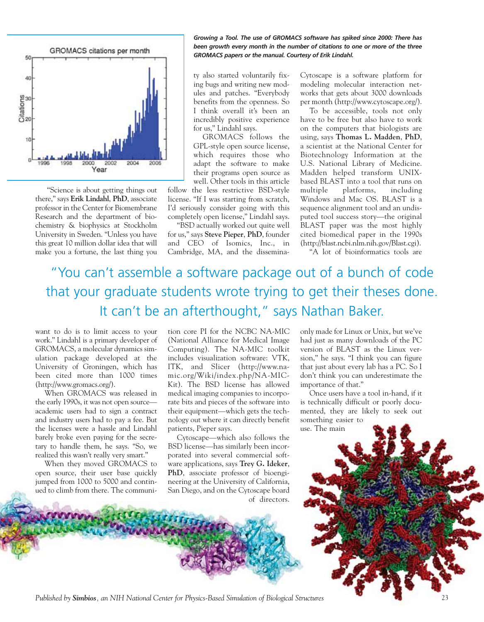

"Science is about getting things out there," says **Erik Lindahl**, **PhD**, associate professor in the Center for Biomembrane Research and the department of biochemistry & biophysics at Stockholm University in Sweden. "Unless you have this great 10 million dollar idea that will make you a fortune, the last thing you *Growing a Tool. The use of GROMACS software has spiked since 2000: There has been growth every month in the number of citations to one or more of the three GROMACS papers or the manual. Courtesy of Erik Lindahl.* 

ty also started voluntarily fixing bugs and writing new modules and patches. "Everybody benefits from the openness. So I think overall it's been an incredibly positive experience for us," Lindahl says.

GROMACS follows the GPL-style open source license, which requires those who adapt the software to make their programs open source as well. Other tools in this article

follow the less restrictive BSD-style license. "If I was starting from scratch, I'd seriously consider going with this completely open license," Lindahl says.

"BSD actually worked out quite well for us," says **Steve Pieper**, **PhD**, founder and CEO of Isomics, Inc., in Cambridge, MA, and the disseminaCytoscape is a software platform for modeling molecular interaction networks that gets about 3000 downloads per month (http://www.cytoscape.org/).

To be accessible, tools not only have to be free but also have to work on the computers that biologists are using, says **Thomas L. Madden**, **PhD**, a scientist at the National Center for Biotechnology Information at the U.S. National Library of Medicine. Madden helped transform UNIXbased BLAST into a tool that runs on multiple platforms, including Windows and Mac OS. BLAST is a sequence alignment tool and an undisputed tool success story—the original BLAST paper was the most highly cited biomedical paper in the 1990s (http://blast.ncbi.nlm.nih.gov/Blast.cgi).

"A lot of bioinformatics tools are

# "You can't assemble a software package out of a bunch of code that your graduate students wrote trying to get their theses done. It can't be an afterthought," says Nathan Baker.

want to do is to limit access to your work." Lindahl is a primary developer of GROMACS, a molecular dynamics simulation package developed at the University of Groningen, which has been cited more than 1000 times (http://www.gromacs.org/).

When GROMACS was released in the early 1990s, it was not open source academic users had to sign a contract and industry users had to pay a fee. But the licenses were a hassle and Lindahl barely broke even paying for the secretary to handle them, he says. "So, we realized this wasn't really very smart."

When they moved GROMACS to open source, their user base quickly jumped from 1000 to 5000 and continued to climb from there. The communi-

tion core PI for the NCBC NA-MIC (National Alliance for Medical Image Computing). The NA-MIC toolkit includes visualization software: VTK, ITK, and Slicer (http://www.namic.org/Wiki/index.php/NA-MIC-Kit). The BSD license has allowed medical imaging companies to incorporate bits and pieces of the software into their equipment—which gets the technology out where it can directly benefit patients, Pieper says.

Cytoscape—which also follows the BSD license—has similarly been incorporated into several commercial software applications, says **Trey G. Ideker**, **PhD**, associate professor of bioengineering at the University of California, San Diego, and on the Cytoscape board of directors.

only made for Linux or Unix, but we've had just as many downloads of the PC version of BLAST as the Linux version," he says. "I think you can figure that just about every lab has a PC. So I don't think you can underestimate the importance of that."

Once users have a tool in-hand, if it is technically difficult or poorly documented, they are likely to seek out something easier to

use. The main

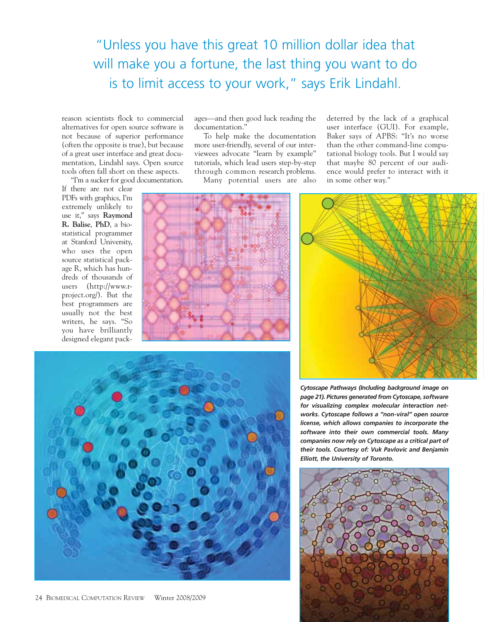"Unless you have this great 10 million dollar idea that will make you a fortune, the last thing you want to do is to limit access to your work," says Erik Lindahl.

ages—and then good luck reading the

To help make the documentation more user-friendly, several of our interviewees advocate "learn by example" tutorials, which lead users step-by-step through common research problems. Many potential users are also

reason scientists flock to commercial alternatives for open source software is not because of superior performance (often the opposite is true), but because of a great user interface and great documentation, Lindahl says. Open source tools often fall short on these aspects.

"I'm a sucker for good documentation.

If there are not clear PDFs with graphics, I'm extremely unlikely to use it," says **Raymond R. Balise**, **PhD**, a biostatistical programmer at Stanford University, who uses the open source statistical package R, which has hundreds of thousands of users (http://www.rproject.org/). But the best programmers are usually not the best writers, he says. "So you have brilliantly designed elegant pack-



documentation."

deterred by the lack of a graphical user interface (GUI). For example, Baker says of APBS: "It's no worse than the other command-line computational biology tools. But I would say that maybe 80 percent of our audience would prefer to interact with it in some other way."





*Cytoscape Pathways (Including background image on page 21). Pictures generated from Cytoscape, software for visualizing complex molecular interaction networks. Cytoscape follows a "non-viral" open source license, which allows companies to incorporate the software into their own commercial tools. Many companies now rely on Cytoscape as a critical part of their tools. Courtesy of: Vuk Pavlovic and Benjamin Elliott, the University of Toronto.* 

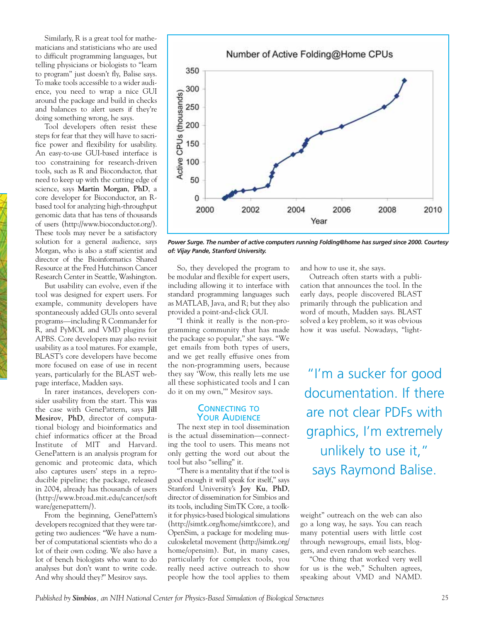Similarly, R is a great tool for mathematicians and statisticians who are used to difficult programming languages, but telling physicians or biologists to "learn to program" just doesn't fly, Balise says. To make tools accessible to a wider audience, you need to wrap a nice GUI around the package and build in checks and balances to alert users if they're doing something wrong, he says.

Tool developers often resist these steps for fear that they will have to sacrifice power and flexibility for usability. An easy-to-use GUI-based interface is too constraining for research-driven tools, such as R and Bioconductor, that need to keep up with the cutting edge of science, says **Martin Morgan**, **PhD**, a core developer for Bioconductor, an Rbased tool for analyzing high-throughput genomic data that has tens of thousands of users (http://www.bioconductor.org/). These tools may never be a satisfactory solution for a general audience, says Morgan, who is also a staff scientist and director of the Bioinformatics Shared Resource at the Fred Hutchinson Cancer Research Center in Seattle, Washington.

But usability can evolve, even if the tool was designed for expert users. For example, community developers have spontaneously added GUIs onto several programs—including R Commander for R, and PyMOL and VMD plugins for APBS. Core developers may also revisit usability as a tool matures. For example, BLAST's core developers have become more focused on ease of use in recent years, particularly for the BLAST webpage interface, Madden says.

In rarer instances, developers consider usability from the start. This was the case with GenePattern, says **Jill Mesirov**, **PhD**, director of computational biology and bioinformatics and chief informatics officer at the Broad Institute of MIT and Harvard. GenePattern is an analysis program for genomic and proteomic data, which also captures users' steps in a reproducible pipeline; the package, released in 2004, already has thousands of users (http://www.broad.mit.edu/cancer/soft ware/genepattern/).

From the beginning, GenePattern's developers recognized that they were targeting two audiences: "We have a number of computational scientists who do a lot of their own coding. We also have a lot of bench biologists who want to do analyses but don't want to write code. And why should they?" Mesirov says.



*Power Surge. The number of active computers running Folding@home has surged since 2000. Courtesy of: Vijay Pande, Stanford University.*

So, they developed the program to be modular and flexible for expert users, including allowing it to interface with standard programming languages such as MATLAB, Java, and R; but they also provided a point-and-click GUI.

"I think it really is the non-programming community that has made the package so popular," she says. "We get emails from both types of users, and we get really effusive ones from the non-programming users, because they say 'Wow, this really lets me use all these sophisticated tools and I can do it on my own,'" Mesirov says.

### CONNECTING TO **YOUR AUDIENCE**

The next step in tool dissemination is the actual dissemination—connecting the tool to users. This means not only getting the word out about the tool but also "selling" it.

"There is a mentality that if the tool is good enough it will speak for itself," says Stanford University's **Joy Ku**, **PhD**, director of dissemination for Simbios and its tools, including SimTK Core, a toolkit for physics-based biological simulations (http://simtk.org/home/simtkcore), and OpenSim, a package for modeling musculoskeletal movement (http://simtk.org/ home/opensim). But, in many cases, particularly for complex tools, you really need active outreach to show people how the tool applies to them

and how to use it, she says.

Outreach often starts with a publication that announces the tool. In the early days, people discovered BLAST primarily through the publication and word of mouth, Madden says. BLAST solved a key problem, so it was obvious how it was useful. Nowadays, "light-

"I'm a sucker for good documentation. If there are not clear PDFs with graphics, I'm extremely unlikely to use it," says Raymond Balise.

weight" outreach on the web can also go a long way, he says. You can reach many potential users with little cost through newsgroups, email lists, bloggers, and even random web searches.

"One thing that worked very well for us is the web," Schulten agrees, speaking about VMD and NAMD.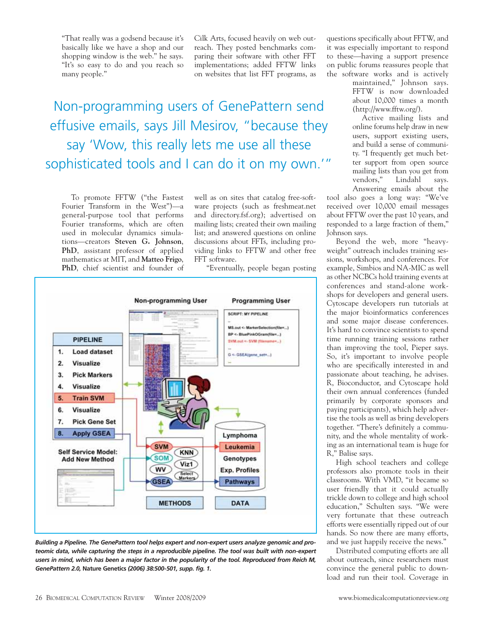"That really was a godsend because it's basically like we have a shop and our shopping window is the web." he says. "It's so easy to do and you reach so many people."

Cilk Arts, focused heavily on web outreach. They posted benchmarks comparing their software with other FFT implementations; added FFTW links on websites that list FFT programs, as

Non-programming users of GenePattern send effusive emails, says Jill Mesirov, "because they say 'Wow, this really lets me use all these sophisticated tools and I can do it on my own.'"

To promote FFTW ("the Fastest Fourier Transform in the West")—a general-purpose tool that performs Fourier transforms, which are often used in molecular dynamics simulations—creators **Steven G. Johnson**, **PhD**, assistant professor of applied mathematics at MIT, and **Matteo Frigo**, **PhD**, chief scientist and founder of

well as on sites that catalog free-software projects (such as freshmeat.net and directory.fsf.org); advertised on mailing lists; created their own mailing list; and answered questions on online discussions about FFTs, including providing links to FFTW and other free FFT software.

"Eventually, people began posting



*Building a Pipeline. The GenePattern tool helps expert and non-expert users analyze genomic and proteomic data, while capturing the steps in a reproducible pipeline. The tool was built with non-expert users in mind, which has been a major factor in the popularity of the tool. Reproduced from Reich M, GenePattern 2.0,* **Nature Genetics** *(2006) 38:500-501, supp. fig. 1.*

questions specifically about FFTW, and it was especially important to respond to these—having a support presence on public forums reassures people that the software works and is actively

maintained," Johnson says. FFTW is now downloaded about 10,000 times a month (http://www.fftw.org/).

Active mailing lists and online forums help draw in new users, support existing users, and build a sense of community. "I frequently get much better support from open source mailing lists than you get from vendors," Lindahl says. Answering emails about the

tool also goes a long way: "We've received over 10,000 email messages about FFTW over the past 10 years, and responded to a large fraction of them," Johnson says.

Beyond the web, more "heavyweight" outreach includes training sessions, workshops, and conferences. For example, Simbios and NA-MIC as well as other NCBCs hold training events at conferences and stand-alone workshops for developers and general users. Cytoscape developers run tutorials at the major bioinformatics conferences and some major disease conferences. It's hard to convince scientists to spend time running training sessions rather than improving the tool, Pieper says. So, it's important to involve people who are specifically interested in and passionate about teaching, he advises. R, Bioconductor, and Cytoscape hold their own annual conferences (funded primarily by corporate sponsors and paying participants), which help advertise the tools as well as bring developers together. "There's definitely a community, and the whole mentality of working as an international team is huge for R," Balise says.

High school teachers and college professors also promote tools in their classrooms. With VMD, "it became so user friendly that it could actually trickle down to college and high school education," Schulten says. "We were very fortunate that these outreach efforts were essentially ripped out of our hands. So now there are many efforts, and we just happily receive the news."

Distributed computing efforts are all about outreach, since researchers must convince the general public to download and run their tool. Coverage in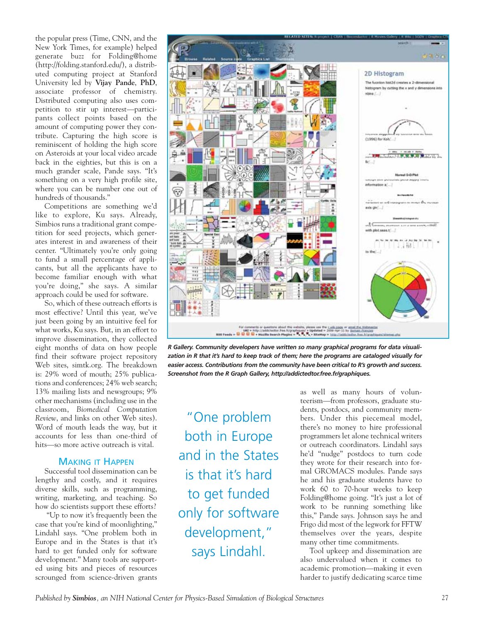the popular press (Time, CNN, and the New York Times, for example) helped generate buzz for Folding@home (http://folding.stanford.edu/), a distributed computing project at Stanford University led by **Vijay Pande**, **PhD**, associate professor of chemistry. Distributed computing also uses competition to stir up interest—participants collect points based on the amount of computing power they contribute. Capturing the high score is reminiscent of holding the high score on Asteroids at your local video arcade back in the eighties, but this is on a much grander scale, Pande says. "It's something on a very high profile site, where you can be number one out of hundreds of thousands."

Competitions are something we'd like to explore, Ku says. Already, Simbios runs a traditional grant competition for seed projects, which generates interest in and awareness of their center. "Ultimately you're only going to fund a small percentage of applicants, but all the applicants have to become familiar enough with what you're doing," she says. A similar approach could be used for software.

So, which of these outreach efforts is most effective? Until this year, we've just been going by an intuitive feel for what works, Ku says. But, in an effort to improve dissemination, they collected eight months of data on how people find their software project repository Web sites, simtk.org. The breakdown is: 29% word of mouth; 25% publications and conferences; 24% web search; 13% mailing lists and newsgroups; 9% other mechanisms (including use in the classroom, *Biomedical Computation Review*, and links on other Web sites). Word of mouth leads the way, but it accounts for less than one-third of hits—so more active outreach is vital.

# MAKING IT HAPPEN

Successful tool dissemination can be lengthy and costly, and it requires diverse skills, such as programming, writing, marketing, and teaching. So how do scientists support these efforts?

"Up to now it's frequently been the case that you're kind of moonlighting," Lindahl says. "One problem both in Europe and in the States is that it's hard to get funded only for software development." Many tools are supported using bits and pieces of resources scrounged from science-driven grants



*R Gallery. Community developers have written so many graphical programs for data visualization in R that it's hard to keep track of them; here the programs are cataloged visually for easier access. Contributions from the community have been critical to R's growth and success. Screenshot from the R Graph Gallery, http://addictedtor.free.fr/graphiques.*

"One problem both in Europe and in the States is that it's hard to get funded only for software development," says Lindahl.

as well as many hours of volunteerism—from professors, graduate students, postdocs, and community members. Under this piecemeal model, there's no money to hire professional programmers let alone technical writers or outreach coordinators. Lindahl says he'd "nudge" postdocs to turn code they wrote for their research into formal GROMACS modules. Pande says he and his graduate students have to work 60 to 70-hour weeks to keep Folding@home going. "It's just a lot of work to be running something like this," Pande says. Johnson says he and Frigo did most of the legwork for FFTW themselves over the years, despite many other time commitments.

Tool upkeep and dissemination are also undervalued when it comes to academic promotion—making it even harder to justify dedicating scarce time